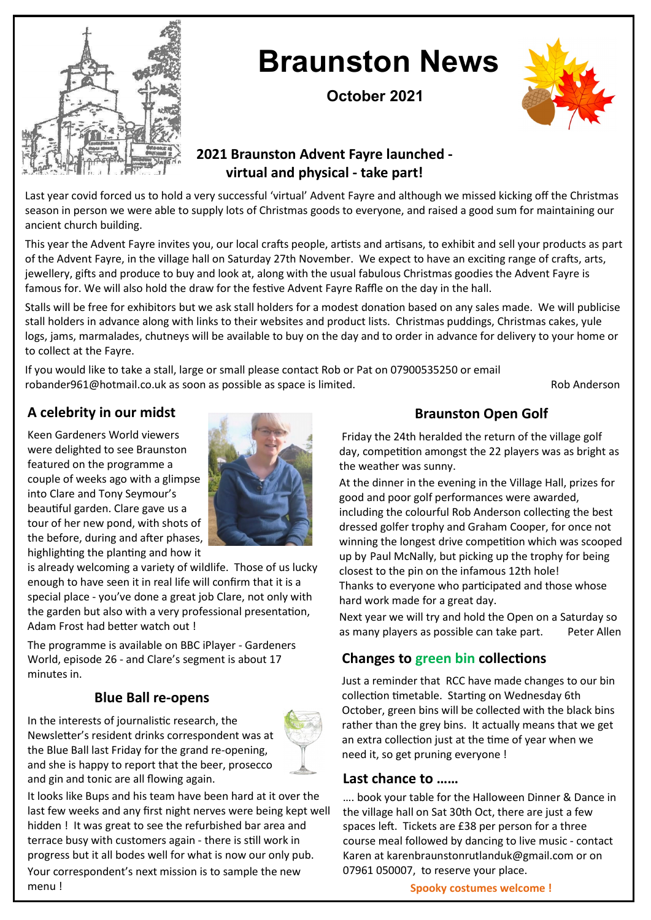

# **Braunston News**

**October 2021**



## **2021 Braunston Advent Fayre launched virtual and physical - take part!**

Last year covid forced us to hold a very successful 'virtual' Advent Fayre and although we missed kicking off the Christmas season in person we were able to supply lots of Christmas goods to everyone, and raised a good sum for maintaining our ancient church building.

This year the Advent Fayre invites you, our local crafts people, artists and artisans, to exhibit and sell your products as part of the Advent Fayre, in the village hall on Saturday 27th November. We expect to have an exciting range of crafts, arts, jewellery, gifts and produce to buy and look at, along with the usual fabulous Christmas goodies the Advent Fayre is famous for. We will also hold the draw for the festive Advent Fayre Raffle on the day in the hall.

Stalls will be free for exhibitors but we ask stall holders for a modest donation based on any sales made. We will publicise stall holders in advance along with links to their websites and product lists. Christmas puddings, Christmas cakes, yule logs, jams, marmalades, chutneys will be available to buy on the day and to order in advance for delivery to your home or to collect at the Fayre.

If you would like to take a stall, large or small please contact Rob or Pat on 07900535250 or email robander961@hotmail.co.uk as soon as possible as space is limited. The rob Anderson Rob Anderson

## **A celebrity in our midst**

Keen Gardeners World viewers were delighted to see Braunston featured on the programme a couple of weeks ago with a glimpse into Clare and Tony Seymour's beautiful garden. Clare gave us a tour of her new pond, with shots of the before, during and after phases, highlighting the planting and how it



is already welcoming a variety of wildlife. Those of us lucky enough to have seen it in real life will confirm that it is a special place - you've done a great job Clare, not only with the garden but also with a very professional presentation, Adam Frost had better watch out !

The programme is available on BBC iPlayer - Gardeners World, episode 26 - and Clare's segment is about 17 minutes in.

### **Blue Ball re-opens**

In the interests of journalistic research, the Newsletter's resident drinks correspondent was at the Blue Ball last Friday for the grand re-opening, and she is happy to report that the beer, prosecco and gin and tonic are all flowing again.



It looks like Bups and his team have been hard at it over the last few weeks and any first night nerves were being kept well hidden ! It was great to see the refurbished bar area and terrace busy with customers again - there is still work in progress but it all bodes well for what is now our only pub. Your correspondent's next mission is to sample the new menu !

### **Braunston Open Golf**

Friday the 24th heralded the return of the village golf day, competition amongst the 22 players was as bright as the weather was sunny.

At the dinner in the evening in the Village Hall, prizes for good and poor golf performances were awarded, including the colourful Rob Anderson collecting the best dressed golfer trophy and Graham Cooper, for once not winning the longest drive competition which was scooped up by Paul McNally, but picking up the trophy for being closest to the pin on the infamous 12th hole! Thanks to everyone who participated and those whose hard work made for a great day.

Next year we will try and hold the Open on a Saturday so as many players as possible can take part. Peter Allen

### **Changes to green bin collections**

Just a reminder that RCC have made changes to our bin collection timetable. Starting on Wednesday 6th October, green bins will be collected with the black bins rather than the grey bins. It actually means that we get an extra collection just at the time of year when we need it, so get pruning everyone !

#### **Last chance to ……**

…. book your table for the Halloween Dinner & Dance in the village hall on Sat 30th Oct, there are just a few spaces left. Tickets are £38 per person for a three course meal followed by dancing to live music - contact Karen at karenbraunstonrutlanduk@gmail.com or on 07961 050007, to reserve your place.

**Spooky costumes welcome !**